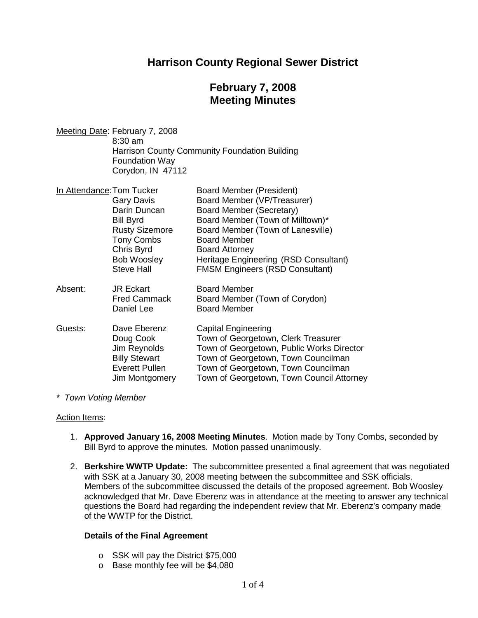# **Harrison County Regional Sewer District**

# **February 7, 2008 Meeting Minutes**

Meeting Date: February 7, 2008 8:30 am Harrison County Community Foundation Building Foundation Way Corydon, IN 47112

| In Attendance: Tom Tucker |                       | <b>Board Member (President)</b>           |  |
|---------------------------|-----------------------|-------------------------------------------|--|
|                           | Gary Davis            | Board Member (VP/Treasurer)               |  |
|                           | Darin Duncan          | Board Member (Secretary)                  |  |
|                           | <b>Bill Byrd</b>      | Board Member (Town of Milltown)*          |  |
|                           | <b>Rusty Sizemore</b> | Board Member (Town of Lanesville)         |  |
|                           | <b>Tony Combs</b>     | <b>Board Member</b>                       |  |
|                           | Chris Byrd            | <b>Board Attorney</b>                     |  |
|                           | <b>Bob Woosley</b>    | Heritage Engineering (RSD Consultant)     |  |
|                           | <b>Steve Hall</b>     | <b>FMSM Engineers (RSD Consultant)</b>    |  |
| Absent:                   | <b>JR Eckart</b>      | <b>Board Member</b>                       |  |
|                           | <b>Fred Cammack</b>   | Board Member (Town of Corydon)            |  |
|                           | Daniel Lee            | <b>Board Member</b>                       |  |
| Guests:                   | Dave Eberenz          | <b>Capital Engineering</b>                |  |
|                           | Doug Cook             | Town of Georgetown, Clerk Treasurer       |  |
|                           | Jim Reynolds          | Town of Georgetown, Public Works Director |  |
|                           | <b>Billy Stewart</b>  | Town of Georgetown, Town Councilman       |  |
|                           | Everett Pullen        | Town of Georgetown, Town Councilman       |  |
|                           | Jim Montgomery        | Town of Georgetown, Town Council Attorney |  |

#### *\* Town Voting Member*

#### Action Items:

- 1. **Approved January 16, 2008 Meeting Minutes**. Motion made by Tony Combs, seconded by Bill Byrd to approve the minutes. Motion passed unanimously.
- 2. **Berkshire WWTP Update:** The subcommittee presented a final agreement that was negotiated with SSK at a January 30, 2008 meeting between the subcommittee and SSK officials. Members of the subcommittee discussed the details of the proposed agreement. Bob Woosley acknowledged that Mr. Dave Eberenz was in attendance at the meeting to answer any technical questions the Board had regarding the independent review that Mr. Eberenz's company made of the WWTP for the District.

## **Details of the Final Agreement**

- o SSK will pay the District \$75,000
- o Base monthly fee will be \$4,080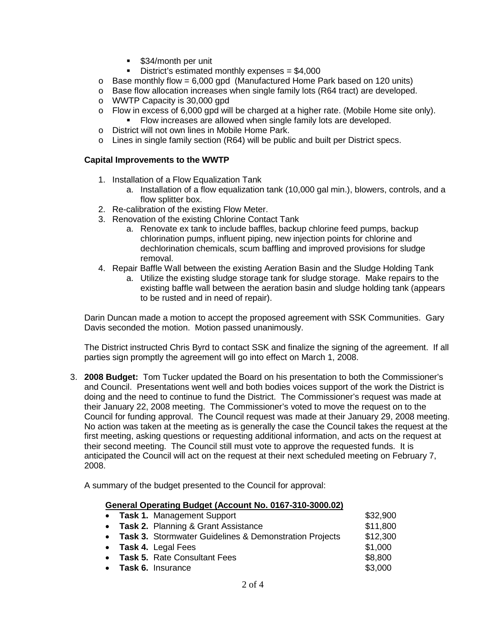- **534/month per unit**
- District's estimated monthly expenses = \$4,000
- $\circ$  Base monthly flow = 6,000 gpd (Manufactured Home Park based on 120 units)
- o Base flow allocation increases when single family lots (R64 tract) are developed.
- o WWTP Capacity is 30,000 gpd
- $\circ$  Flow in excess of 6,000 gpd will be charged at a higher rate. (Mobile Home site only).
	- Flow increases are allowed when single family lots are developed.
- o District will not own lines in Mobile Home Park.
- $\circ$  Lines in single family section (R64) will be public and built per District specs.

#### **Capital Improvements to the WWTP**

- 1. Installation of a Flow Equalization Tank
	- a. Installation of a flow equalization tank (10,000 gal min.), blowers, controls, and a flow splitter box.
- 2. Re-calibration of the existing Flow Meter.
- 3. Renovation of the existing Chlorine Contact Tank
	- a. Renovate ex tank to include baffles, backup chlorine feed pumps, backup chlorination pumps, influent piping, new injection points for chlorine and dechlorination chemicals, scum baffling and improved provisions for sludge removal.
- 4. Repair Baffle Wall between the existing Aeration Basin and the Sludge Holding Tank
	- a. Utilize the existing sludge storage tank for sludge storage. Make repairs to the existing baffle wall between the aeration basin and sludge holding tank (appears to be rusted and in need of repair).

Darin Duncan made a motion to accept the proposed agreement with SSK Communities. Gary Davis seconded the motion. Motion passed unanimously.

The District instructed Chris Byrd to contact SSK and finalize the signing of the agreement. If all parties sign promptly the agreement will go into effect on March 1, 2008.

3. **2008 Budget:** Tom Tucker updated the Board on his presentation to both the Commissioner's and Council. Presentations went well and both bodies voices support of the work the District is doing and the need to continue to fund the District. The Commissioner's request was made at their January 22, 2008 meeting. The Commissioner's voted to move the request on to the Council for funding approval. The Council request was made at their January 29, 2008 meeting. No action was taken at the meeting as is generally the case the Council takes the request at the first meeting, asking questions or requesting additional information, and acts on the request at their second meeting. The Council still must vote to approve the requested funds. It is anticipated the Council will act on the request at their next scheduled meeting on February 7, 2008.

A summary of the budget presented to the Council for approval:

#### **General Operating Budget (Account No. 0167-310-3000.02)**

|  | • Task 1. Management Support                             | \$32,900 |
|--|----------------------------------------------------------|----------|
|  | • Task 2. Planning & Grant Assistance                    | \$11,800 |
|  | • Task 3. Stormwater Guidelines & Demonstration Projects | \$12,300 |
|  | • Task 4. Legal Fees                                     | \$1,000  |
|  | • Task 5. Rate Consultant Fees                           | \$8,800  |
|  | • Task 6. Insurance                                      | \$3,000  |
|  |                                                          |          |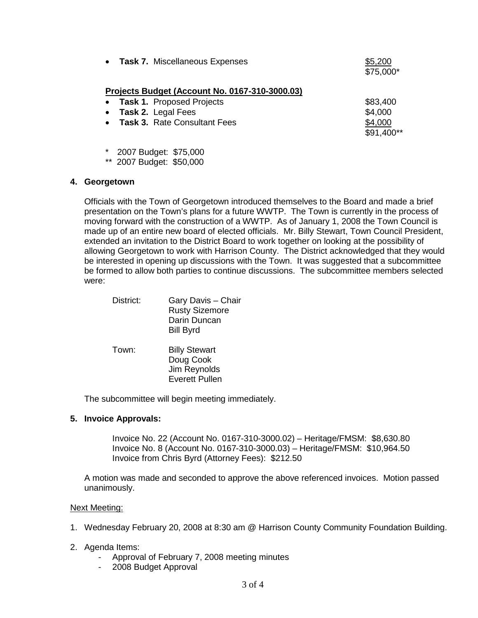| • Task 7. Miscellaneous Expenses                 | \$5,200<br>\$75,000*  |
|--------------------------------------------------|-----------------------|
| Projects Budget (Account No. 0167-310-3000.03)   |                       |
| <b>Task 1. Proposed Projects</b>                 | \$83,400              |
| Task 2. Legal Fees<br>$\bullet$                  | \$4,000               |
| <b>Task 3. Rate Consultant Fees</b><br>$\bullet$ | \$4,000<br>\$91,400** |
| * 2007 Budget: \$75,000                          |                       |
| ** 2007 Budget: \$50,000                         |                       |
| Georgetown                                       |                       |

Officials with the Town of Georgetown introduced themselves to the Board and made a brief presentation on the Town's plans for a future WWTP. The Town is currently in the process of moving forward with the construction of a WWTP. As of January 1, 2008 the Town Council is made up of an entire new board of elected officials. Mr. Billy Stewart, Town Council President, extended an invitation to the District Board to work together on looking at the possibility of allowing Georgetown to work with Harrison County. The District acknowledged that they would be interested in opening up discussions with the Town. It was suggested that a subcommittee be formed to allow both parties to continue discussions. The subcommittee members selected were:

| District: | Gary Davis - Chair<br><b>Rusty Sizemore</b><br>Darin Duncan<br><b>Bill Byrd</b> |
|-----------|---------------------------------------------------------------------------------|
| Town:     | <b>Billy Stewart</b><br>Doug Cook<br>Jim Reynolds<br><b>Everett Pullen</b>      |

The subcommittee will begin meeting immediately.

## **5. Invoice Approvals:**

Invoice No. 22 (Account No. 0167-310-3000.02) – Heritage/FMSM: \$8,630.80 Invoice No. 8 (Account No. 0167-310-3000.03) – Heritage/FMSM: \$10,964.50 Invoice from Chris Byrd (Attorney Fees): \$212.50

A motion was made and seconded to approve the above referenced invoices. Motion passed unanimously.

## Next Meeting:

- 1. Wednesday February 20, 2008 at 8:30 am @ Harrison County Community Foundation Building.
- 2. Agenda Items:
	- Approval of February 7, 2008 meeting minutes
	- 2008 Budget Approval